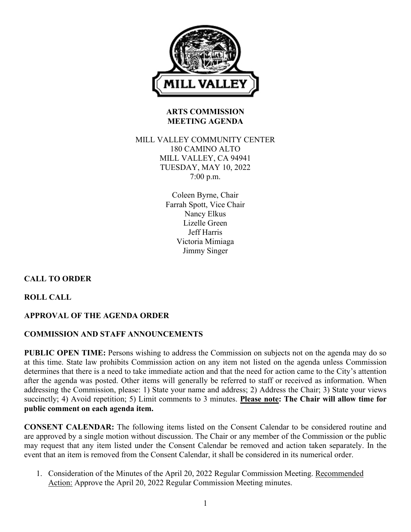

# **ARTS COMMISSION MEETING AGENDA**

### MILL VALLEY COMMUNITY CENTER 180 CAMINO ALTO MILL VALLEY, CA 94941 TUESDAY, MAY 10, 2022 7:00 p.m.

Coleen Byrne, Chair Farrah Spott, Vice Chair Nancy Elkus Lizelle Green Jeff Harris Victoria Mimiaga Jimmy Singer

# **CALL TO ORDER**

**ROLL CALL**

# **APPROVAL OF THE AGENDA ORDER**

# **COMMISSION AND STAFF ANNOUNCEMENTS**

**PUBLIC OPEN TIME:** Persons wishing to address the Commission on subjects not on the agenda may do so at this time. State law prohibits Commission action on any item not listed on the agenda unless Commission determines that there is a need to take immediate action and that the need for action came to the City's attention after the agenda was posted. Other items will generally be referred to staff or received as information. When addressing the Commission, please: 1) State your name and address; 2) Address the Chair; 3) State your views succinctly; 4) Avoid repetition; 5) Limit comments to 3 minutes. **Please note: The Chair will allow time for public comment on each agenda item.**

**CONSENT CALENDAR:** The following items listed on the Consent Calendar to be considered routine and are approved by a single motion without discussion. The Chair or any member of the Commission or the public may request that any item listed under the Consent Calendar be removed and action taken separately. In the event that an item is removed from the Consent Calendar, it shall be considered in its numerical order.

1. Consideration of the Minutes of the April 20, 2022 Regular Commission Meeting. Recommended Action: Approve the April 20, 2022 Regular Commission Meeting minutes.